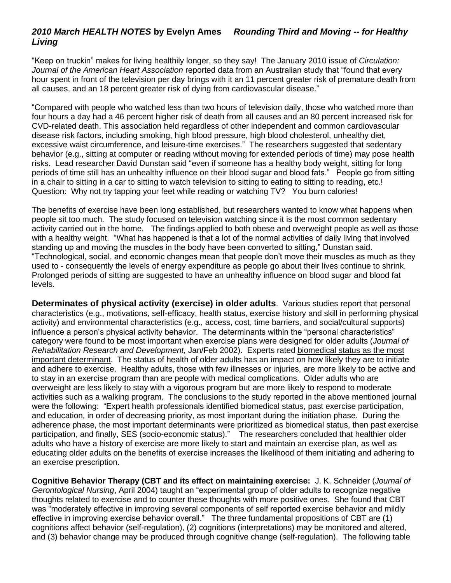## *2010 March HEALTH NOTES* **by Evelyn Ames** *Rounding Third and Moving -- for Healthy Living*

"Keep on truckin" makes for living healthily longer, so they say! The January 2010 issue of *Circulation: Journal of the American Heart Association* reported data from an Australian study that "found that every hour spent in front of the television per day brings with it an 11 percent greater risk of premature death from all causes, and an 18 percent greater risk of dying from cardiovascular disease."

"Compared with people who watched less than two hours of television daily, those who watched more than four hours a day had a 46 percent higher risk of death from all causes and an 80 percent increased risk for CVD-related death. This association held regardless of other independent and common cardiovascular disease risk factors, including smoking, high blood pressure, high blood cholesterol, unhealthy diet, excessive waist circumference, and leisure-time exercises." The researchers suggested that sedentary behavior (e.g., sitting at computer or reading without moving for extended periods of time) may pose health risks. Lead researcher David Dunstan said "even if someone has a healthy body weight, sitting for long periods of time still has an unhealthy influence on their blood sugar and blood fats." People go from sitting in a chair to sitting in a car to sitting to watch television to sitting to eating to sitting to reading, etc.! Question: Why not try tapping your feet while reading or watching TV? You burn calories!

The benefits of exercise have been long established, but researchers wanted to know what happens when people sit too much. The study focused on television watching since it is the most common sedentary activity carried out in the home. The findings applied to both obese and overweight people as well as those with a healthy weight. "What has happened is that a lot of the normal activities of daily living that involved standing up and moving the muscles in the body have been converted to sitting," Dunstan said. "Technological, social, and economic changes mean that people don't move their muscles as much as they used to - consequently the levels of energy expenditure as people go about their lives continue to shrink. Prolonged periods of sitting are suggested to have an unhealthy influence on blood sugar and blood fat levels.

**Determinates of physical activity (exercise) in older adults**.Various studies report that personal characteristics (e.g., motivations, self-efficacy, health status, exercise history and skill in performing physical activity) and environmental characteristics (e.g., access, cost, time barriers, and social/cultural supports) influence a person's physical activity behavior. The determinants within the "personal characteristics" category were found to be most important when exercise plans were designed for older adults (*Journal of Rehabilitation Research and Development,* Jan/Feb 2002). Experts rated biomedical status as the most important determinant. The status of health of older adults has an impact on how likely they are to initiate and adhere to exercise. Healthy adults, those with few illnesses or injuries, are more likely to be active and to stay in an exercise program than are people with medical complications. Older adults who are overweight are less likely to stay with a vigorous program but are more likely to respond to moderate activities such as a walking program. The conclusions to the study reported in the above mentioned journal were the following: "Expert health professionals identified biomedical status, past exercise participation, and education, in order of decreasing priority, as most important during the initiation phase. During the adherence phase, the most important determinants were prioritized as biomedical status, then past exercise participation, and finally, SES (socio-economic status)." The researchers concluded that healthier older adults who have a history of exercise are more likely to start and maintain an exercise plan, as well as educating older adults on the benefits of exercise increases the likelihood of them initiating and adhering to an exercise prescription.

**Cognitive Behavior Therapy (CBT and its effect on maintaining exercise:** J. K. Schneider (*Journal of Gerontological Nursing*, April 2004) taught an "experimental group of older adults to recognize negative thoughts related to exercise and to counter these thoughts with more positive ones. She found that CBT was "moderately effective in improving several components of self reported exercise behavior and mildly effective in improving exercise behavior overall." The three fundamental propositions of CBT are (1) cognitions affect behavior (self-regulation), (2) cognitions (interpretations) may be monitored and altered, and (3) behavior change may be produced through cognitive change (self-regulation). The following table